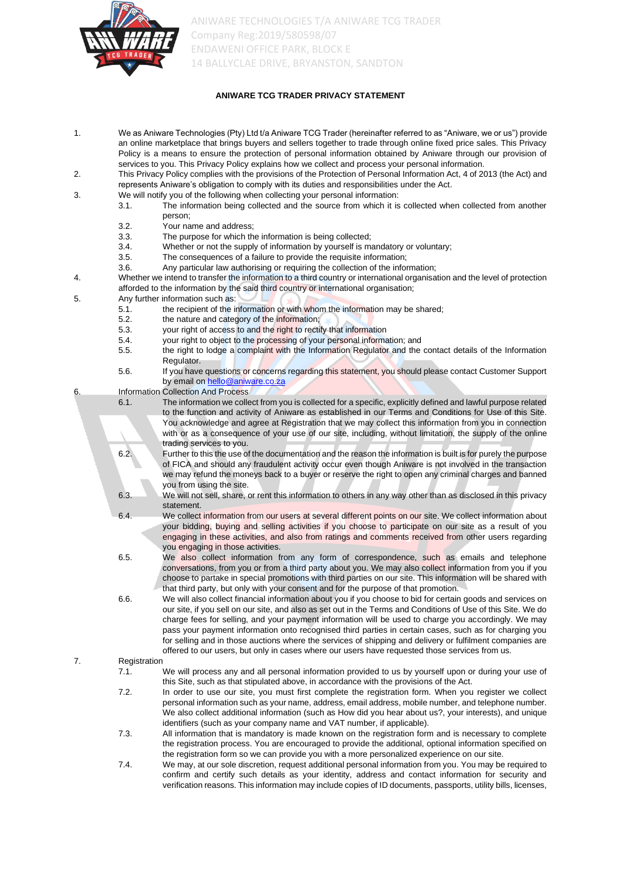

# **ANIWARE TCG TRADER PRIVACY STATEMENT**

- 1. We as Aniware Technologies (Pty) Ltd t/a Aniware TCG Trader (hereinafter referred to as "Aniware, we or us") provide an online marketplace that brings buyers and sellers together to trade through online fixed price sales. This Privacy Policy is a means to ensure the protection of personal information obtained by Aniware through our provision of services to you. This Privacy Policy explains how we collect and process your personal information.
- 2. This Privacy Policy complies with the provisions of the Protection of Personal Information Act, 4 of 2013 (the Act) and represents Aniware's obligation to comply with its duties and responsibilities under the Act.
- 3. We will notify you of the following when collecting your personal information:
	- 3.1. The information being collected and the source from which it is collected when collected from another person;
	- 3.2. Your name and address;
	- 3.3. The purpose for which the information is being collected;<br>3.4. Whether or not the supply of information by yourself is may
	- Whether or not the supply of information by yourself is mandatory or voluntary;
	- 3.5. The consequences of a failure to provide the requisite information;
	- 3.6. Any particular law authorising or requiring the collection of the information;
- 4. Whether we intend to transfer the information to a third country or international organisation and the level of protection afforded to the information by the said third country or international organisation;
- 5. Any further information such as:
	- 5.1. the recipient of the information or with whom the information may be shared;<br>5.2. the nature and category of the information;
	- the nature and category of the information;
	- 5.3. your right of access to and the right to rectify that information
	- 5.4. your right to object to the processing of your personal information; and
	- 5.5. the right to lodge a complaint with the Information Regulator and the contact details of the Information Regulator.
	- 5.6. If you have questions or concerns regarding this statement, you should please contact Customer Support by email o[n hello@aniware.co.za](mailto:hello@aniware.co.za)
- 6. Information Collection And Process
	- 6.1. The information we collect from you is collected for a specific, explicitly defined and lawful purpose related to the function and activity of Aniware as established in our Terms and Conditions for Use of this Site. You acknowledge and agree at Registration that we may collect this information from you in connection with or as a consequence of your use of our site, including, without limitation, the supply of the online trading services to you.
		- 6.2. Further to this the use of the documentation and the reason the information is built is for purely the purpose of FICA and should any fraudulent activity occur even though Aniware is not involved in the transaction we may refund the moneys back to a buyer or reserve the right to open any criminal charges and banned you from using the site.
		- 6.3. We will not sell, share, or rent this information to others in any way other than as disclosed in this privacy statement.
		- 6.4. We collect information from our users at several different points on our site. We collect information about your bidding, buying and selling activities if you choose to participate on our site as a result of you engaging in these activities, and also from ratings and comments received from other users regarding you engaging in those activities.
		- 6.5. We also collect information from any form of correspondence, such as emails and telephone conversations, from you or from a third party about you. We may also collect information from you if you choose to partake in special promotions with third parties on our site. This information will be shared with that third party, but only with your consent and for the purpose of that promotion.
		- 6.6. We will also collect financial information about you if you choose to bid for certain goods and services on our site, if you sell on our site, and also as set out in the Terms and Conditions of Use of this Site. We do charge fees for selling, and your payment information will be used to charge you accordingly. We may pass your payment information onto recognised third parties in certain cases, such as for charging you for selling and in those auctions where the services of shipping and delivery or fulfilment companies are offered to our users, but only in cases where our users have requested those services from us.

#### 7. Registration

7.1. We will process any and all personal information provided to us by yourself upon or during your use of this Site, such as that stipulated above, in accordance with the provisions of the Act.

- 7.2. In order to use our site, you must first complete the registration form. When you register we collect personal information such as your name, address, email address, mobile number, and telephone number. We also collect additional information (such as How did you hear about us?, your interests), and unique identifiers (such as your company name and VAT number, if applicable).
- 7.3. All information that is mandatory is made known on the registration form and is necessary to complete the registration process. You are encouraged to provide the additional, optional information specified on the registration form so we can provide you with a more personalized experience on our site.
- 7.4. We may, at our sole discretion, request additional personal information from you. You may be required to confirm and certify such details as your identity, address and contact information for security and verification reasons. This information may include copies of ID documents, passports, utility bills, licenses,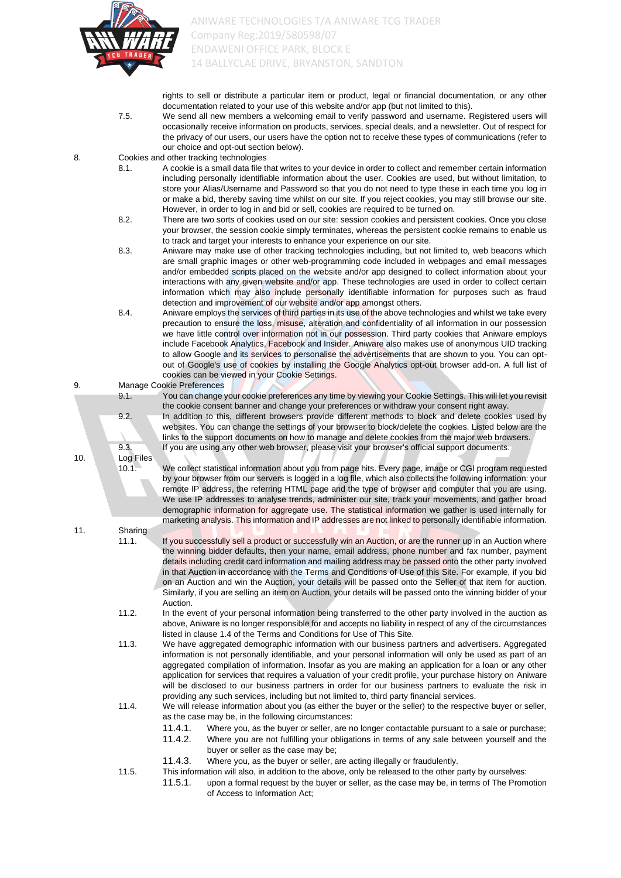

rights to sell or distribute a particular item or product, legal or financial documentation, or any other documentation related to your use of this website and/or app (but not limited to this).

- 7.5. We send all new members a welcoming email to verify password and username. Registered users will occasionally receive information on products, services, special deals, and a newsletter. Out of respect for the privacy of our users, our users have the option not to receive these types of communications (refer to our choice and opt-out section below).
- 8. Cookies and other tracking technologies
	- 8.1. A cookie is a small data file that writes to your device in order to collect and remember certain information including personally identifiable information about the user. Cookies are used, but without limitation, to store your Alias/Username and Password so that you do not need to type these in each time you log in or make a bid, thereby saving time whilst on our site. If you reject cookies, you may still browse our site. However, in order to log in and bid or sell, cookies are required to be turned on.
	- 8.2. There are two sorts of cookies used on our site: session cookies and persistent cookies. Once you close your browser, the session cookie simply terminates, whereas the persistent cookie remains to enable us to track and target your interests to enhance your experience on our site.
	- 8.3. Aniware may make use of other tracking technologies including, but not limited to, web beacons which are small graphic images or other web-programming code included in webpages and email messages and/or embedded scripts placed on the website and/or app designed to collect information about your interactions with any given website and/or app. These technologies are used in order to collect certain information which may also include personally identifiable information for purposes such as fraud detection and improvement of our website and/or app amongst others.
	- 8.4. Aniware employs the services of third parties in its use of the above technologies and whilst we take every precaution to ensure the loss, misuse, alteration and confidentiality of all information in our possession we have little control over information not in our possession. Third party cookies that Aniware employs include Facebook Analytics, Facebook and Insider. Aniware also makes use of anonymous UID tracking to allow Google and its services to personalise the advertisements that are shown to you. You can optout of Google's use of cookies by installing the Google Analytics opt-out browser add-on. A full list of cookies can be viewed in your Cookie Settings.

9. Manage Cookie Preferences

9.1. You can change your cookie preferences any time by viewing your Cookie Settings. This will let you revisit the cookie consent banner and change your preferences or withdraw your consent right away. 9.2. In addition to this, different browsers provide different methods to block and delete cookies used by websites. You can change the settings of your browser to block/delete the cookies. Listed below are the

links to the support documents on how to manage and delete cookies from the major web browsers. 9.3. If you are using any other web browser, please visit your browser's official support documents.

10.1. We collect statistical information about you from page hits. Every page, image or CGI program requested by your browser from our servers is logged in a log file, which also collects the following information: your remote IP address, the referring HTML page and the type of browser and computer that you are using. We use IP addresses to analyse trends, administer our site, track your movements, and gather broad demographic information for aggregate use. The statistical information we gather is used internally for marketing analysis. This information and IP addresses are not linked to personally identifiable information.

11. Sharing

10. Log Files

- 11.1. If you successfully sell a product or successfully win an Auction, or are the runner up in an Auction where the winning bidder defaults, then your name, email address, phone number and fax number, payment details including credit card information and mailing address may be passed onto the other party involved in that Auction in accordance with the Terms and Conditions of Use of this Site. For example, if you bid on an Auction and win the Auction, your details will be passed onto the Seller of that item for auction. Similarly, if you are selling an item on Auction, your details will be passed onto the winning bidder of your Auction.
- 11.2. In the event of your personal information being transferred to the other party involved in the auction as above, Aniware is no longer responsible for and accepts no liability in respect of any of the circumstances listed in clause 1.4 of the Terms and Conditions for Use of This Site.
- 11.3. We have aggregated demographic information with our business partners and advertisers. Aggregated information is not personally identifiable, and your personal information will only be used as part of an aggregated compilation of information. Insofar as you are making an application for a loan or any other application for services that requires a valuation of your credit profile, your purchase history on Aniware will be disclosed to our business partners in order for our business partners to evaluate the risk in providing any such services, including but not limited to, third party financial services.
- 11.4. We will release information about you (as either the buyer or the seller) to the respective buyer or seller, as the case may be, in the following circumstances:
	- 11.4.1. Where you, as the buyer or seller, are no longer contactable pursuant to a sale or purchase; 11.4.2. Where you are not fulfilling your obligations in terms of any sale between yourself and the buyer or seller as the case may be;
	- 11.4.3. Where you, as the buyer or seller, are acting illegally or fraudulently.
- 11.5. This information will also, in addition to the above, only be released to the other party by ourselves:
	- 11.5.1. upon a formal request by the buyer or seller, as the case may be, in terms of The Promotion of Access to Information Act;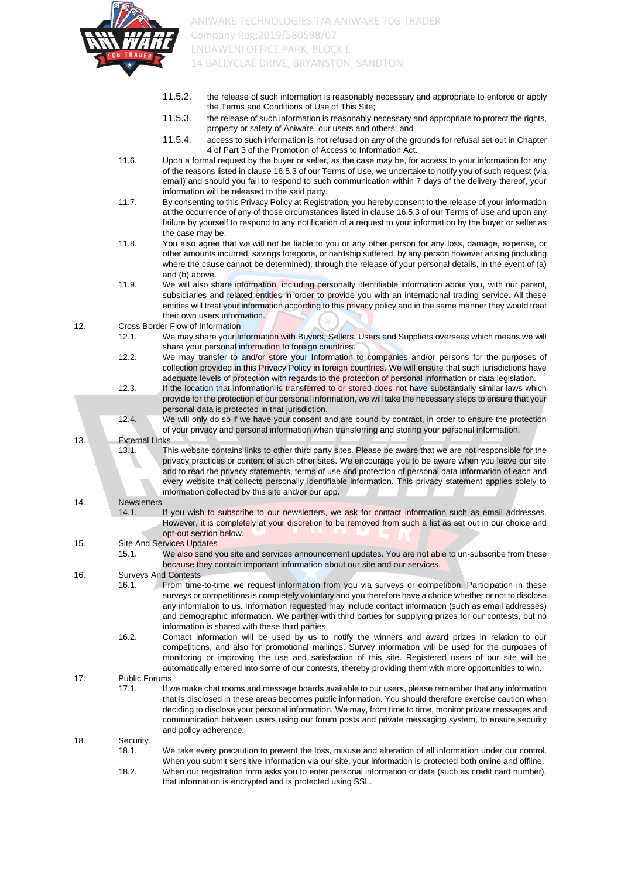

- 11.5.2. the release of such information is reasonably necessary and appropriate to enforce or apply the Terms and Conditions of Use of This Site;
- 11.5.3. the release of such information is reasonably necessary and appropriate to protect the rights, property or safety of Aniware, our users and others; and
- 11.5.4. access to such information is not refused on any of the grounds for refusal set out in Chapter 4 of Part 3 of the Promotion of Access to Information Act.
- 11.6. Upon a formal request by the buyer or seller, as the case may be, for access to your information for any of the reasons listed in clause 16.5.3 of our Terms of Use, we undertake to notify you of such request (via email) and should you fail to respond to such communication within 7 days of the delivery thereof, your information will be released to the said party.
- 11.7. By consenting to this Privacy Policy at Registration, you hereby consent to the release of your information at the occurrence of any of those circumstances listed in clause 16.5.3 of our Terms of Use and upon any failure by yourself to respond to any notification of a request to your information by the buyer or seller as the case may be.
- 11.8. You also agree that we will not be liable to you or any other person for any loss, damage, expense, or other amounts incurred, savings foregone, or hardship suffered, by any person however arising (including where the cause cannot be determined), through the release of your personal details, in the event of (a) and (b) above.
- 11.9. We will also share information, including personally identifiable information about you, with our parent, subsidiaries and related entities in order to provide you with an international trading service. All these entities will treat your information according to this privacy policy and in the same manner they would treat their own users information.

12. Cross Border Flow of Information

- 12.1. We may share your Information with Buyers, Sellers, Users and Suppliers overseas which means we will share your personal information to foreign countries.
- 12.2. We may transfer to and/or store your Information to companies and/or persons for the purposes of collection provided in this Privacy Policy in foreign countries. We will ensure that such jurisdictions have adequate levels of protection with regards to the protection of personal information or data legislation.
- 12.3. If the location that information is transferred to or stored does not have substantially similar laws which provide for the protection of our personal information, we will take the necessary steps to ensure that your personal data is protected in that jurisdiction.
- 12.4. We will only do so if we have your consent and are bound by contract, in order to ensure the protection of your privacy and personal information when transferring and storing your personal information,

13. External Links

13.1. This website contains links to other third party sites. Please be aware that we are not responsible for the privacy practices or content of such other sites. We encourage you to be aware when you leave our site and to read the privacy statements, terms of use and protection of personal data information of each and every website that collects personally identifiable information. This privacy statement applies solely to information collected by this site and/or our app.

### 14. Newsletters

14.1. If you wish to subscribe to our newsletters, we ask for contact information such as email addresses. However, it is completely at your discretion to be removed from such a list as set out in our choice and opt-out section below.

15. Site And Services Updates

15.1. We also send you site and services announcement updates. You are not able to un-subscribe from these because they contain important information about our site and our services.

16. Surveys And Contests

- 16.1. From time-to-time we request information from you via surveys or competition. Participation in these surveys or competitions is completely voluntary and you therefore have a choice whether or not to disclose any information to us. Information requested may include contact information (such as email addresses) and demographic information. We partner with third parties for supplying prizes for our contests, but no information is shared with these third parties.
- 16.2. Contact information will be used by us to notify the winners and award prizes in relation to our competitions, and also for promotional mailings. Survey information will be used for the purposes of monitoring or improving the use and satisfaction of this site. Registered users of our site will be automatically entered into some of our contests, thereby providing them with more opportunities to win.

17. Public Forums

17.1. If we make chat rooms and message boards available to our users, please remember that any information that is disclosed in these areas becomes public information. You should therefore exercise caution when deciding to disclose your personal information. We may, from time to time, monitor private messages and communication between users using our forum posts and private messaging system, to ensure security and policy adherence.

18. Security

18.1. We take every precaution to prevent the loss, misuse and alteration of all information under our control. When you submit sensitive information via our site, your information is protected both online and offline. 18.2. When our registration form asks you to enter personal information or data (such as credit card number), that information is encrypted and is protected using SSL.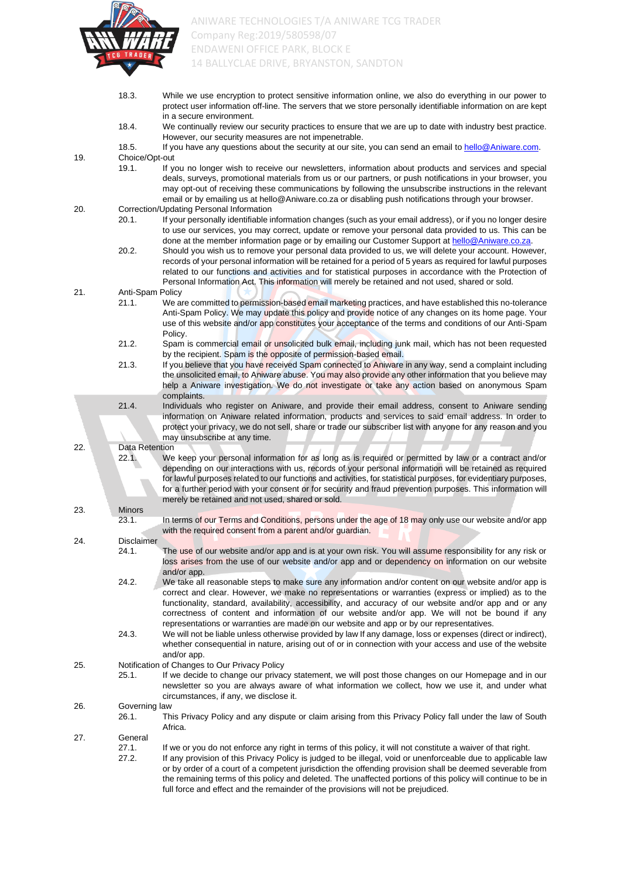

|     | 18.3.                  | While we use encryption to protect sensitive information online, we also do everything in our power to<br>protect user information off-line. The servers that we store personally identifiable information on are kept<br>in a secure environment.                                                                                                                                                                                                                                                                                               |
|-----|------------------------|--------------------------------------------------------------------------------------------------------------------------------------------------------------------------------------------------------------------------------------------------------------------------------------------------------------------------------------------------------------------------------------------------------------------------------------------------------------------------------------------------------------------------------------------------|
|     | 18.4.                  | We continually review our security practices to ensure that we are up to date with industry best practice.<br>However, our security measures are not impenetrable.                                                                                                                                                                                                                                                                                                                                                                               |
|     | 18.5.                  | If you have any questions about the security at our site, you can send an email to hello@Aniware.com.                                                                                                                                                                                                                                                                                                                                                                                                                                            |
| 19. | Choice/Opt-out         |                                                                                                                                                                                                                                                                                                                                                                                                                                                                                                                                                  |
|     | 19.1.                  | If you no longer wish to receive our newsletters, information about products and services and special<br>deals, surveys, promotional materials from us or our partners, or push notifications in your browser, you<br>may opt-out of receiving these communications by following the unsubscribe instructions in the relevant<br>email or by emailing us at hello@Aniware.co.za or disabling push notifications through your browser.                                                                                                            |
| 20. |                        | Correction/Updating Personal Information                                                                                                                                                                                                                                                                                                                                                                                                                                                                                                         |
|     | 20.1.                  | If your personally identifiable information changes (such as your email address), or if you no longer desire<br>to use our services, you may correct, update or remove your personal data provided to us. This can be<br>done at the member information page or by emailing our Customer Support at hello@Aniware.co.za.                                                                                                                                                                                                                         |
|     | 20.2.                  | Should you wish us to remove your personal data provided to us, we will delete your account. However,<br>records of your personal information will be retained for a period of 5 years as required for lawful purposes<br>related to our functions and activities and for statistical purposes in accordance with the Protection of<br>Personal Information Act. This information will merely be retained and not used, shared or sold.                                                                                                          |
| 21. | Anti-Spam Policy       |                                                                                                                                                                                                                                                                                                                                                                                                                                                                                                                                                  |
|     | 21.1.                  | We are committed to permission-based email marketing practices, and have established this no-tolerance<br>Anti-Spam Policy. We may update this policy and provide notice of any changes on its home page. Your<br>use of this website and/or app constitutes your acceptance of the terms and conditions of our Anti-Spam<br>Policy.                                                                                                                                                                                                             |
|     | 21.2.                  | Spam is commercial email or unsolicited bulk email, including junk mail, which has not been requested<br>by the recipient. Spam is the opposite of permission-based email.                                                                                                                                                                                                                                                                                                                                                                       |
|     | 21.3.                  | If you believe that you have received Spam connected to Aniware in any way, send a complaint including<br>the unsolicited email, to Aniware abuse. You may also provide any other information that you believe may<br>help a Aniware investigation. We do not investigate or take any action based on anonymous Spam<br>complaints.                                                                                                                                                                                                              |
|     | 21.4.                  | Individuals who register on Aniware, and provide their email address, consent to Aniware sending                                                                                                                                                                                                                                                                                                                                                                                                                                                 |
|     |                        | information on Aniware related information, products and services to said email address. In order to<br>protect your privacy, we do not sell, share or trade our subscriber list with anyone for any reason and you<br>may unsubscribe at any time.                                                                                                                                                                                                                                                                                              |
| 22. | Data Retention         |                                                                                                                                                                                                                                                                                                                                                                                                                                                                                                                                                  |
|     | 22.1.                  | We keep your personal information for as long as is required or permitted by law or a contract and/or<br>depending on our interactions with us, records of your personal information will be retained as required<br>for lawful purposes related to our functions and activities, for statistical purposes, for evidentiary purposes,<br>for a further period with your consent or for security and fraud prevention purposes. This information will<br>merely be retained and not used, shared or sold.                                         |
| 23. | <b>Minors</b>          |                                                                                                                                                                                                                                                                                                                                                                                                                                                                                                                                                  |
|     | 23.1.                  | In terms of our Terms and Conditions, persons under the age of 18 may only use our website and/or app<br>with the required consent from a parent and/or guardian.                                                                                                                                                                                                                                                                                                                                                                                |
| 24. | <b>Disclaimer</b>      |                                                                                                                                                                                                                                                                                                                                                                                                                                                                                                                                                  |
|     | 24.1.                  | The use of our website and/or app and is at your own risk. You will assume responsibility for any risk or<br>loss arises from the use of our website and/or app and or dependency on information on our website<br>and/or app.                                                                                                                                                                                                                                                                                                                   |
|     | 24.2.                  | We take all reasonable steps to make sure any information and/or content on our website and/or app is<br>correct and clear. However, we make no representations or warranties (express or implied) as to the<br>functionality, standard, availability, accessibility, and accuracy of our website and/or app and or any<br>correctness of content and information of our website and/or app. We will not be bound if any<br>representations or warranties are made on our website and app or by our representatives.                             |
|     | 24.3.                  | We will not be liable unless otherwise provided by law If any damage, loss or expenses (direct or indirect),<br>whether consequential in nature, arising out of or in connection with your access and use of the website<br>and/or app.                                                                                                                                                                                                                                                                                                          |
| 25. | 25.1.                  | Notification of Changes to Our Privacy Policy<br>If we decide to change our privacy statement, we will post those changes on our Homepage and in our<br>newsletter so you are always aware of what information we collect, how we use it, and under what<br>circumstances, if any, we disclose it.                                                                                                                                                                                                                                               |
| 26. | Governing law<br>26.1. | This Privacy Policy and any dispute or claim arising from this Privacy Policy fall under the law of South<br>Africa.                                                                                                                                                                                                                                                                                                                                                                                                                             |
| 27. | General                |                                                                                                                                                                                                                                                                                                                                                                                                                                                                                                                                                  |
|     | 27.1.<br>27.2.         | If we or you do not enforce any right in terms of this policy, it will not constitute a waiver of that right.<br>If any provision of this Privacy Policy is judged to be illegal, void or unenforceable due to applicable law<br>or by order of a court of a competent jurisdiction the offending provision shall be deemed severable from<br>the remaining terms of this policy and deleted. The unaffected portions of this policy will continue to be in<br>full force and effect and the remainder of the provisions will not be prejudiced. |